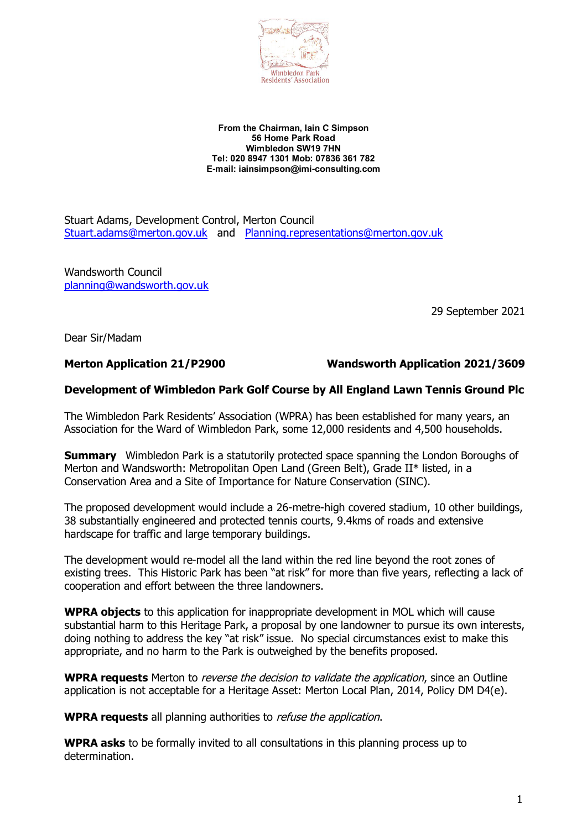

#### **From the Chairman, Iain C Simpson 56 Home Park Road Wimbledon SW19 7HN Tel: 020 8947 1301 Mob: 07836 361 782 E-mail: iainsimpson@imi-consulting.com**

Stuart Adams, Development Control, Merton Council Stuart.adams@merton.gov.uk and Planning.representations@merton.gov.uk

Wandsworth Council planning@wandsworth.gov.uk

29 September 2021

Dear Sir/Madam

#### **Merton Application 21/P2900 Wandsworth Application 2021/3609**

#### **Development of Wimbledon Park Golf Course by All England Lawn Tennis Ground Plc**

The Wimbledon Park Residents' Association (WPRA) has been established for many years, an Association for the Ward of Wimbledon Park, some 12,000 residents and 4,500 households.

**Summary** Wimbledon Park is a statutorily protected space spanning the London Boroughs of Merton and Wandsworth: Metropolitan Open Land (Green Belt), Grade II\* listed, in a Conservation Area and a Site of Importance for Nature Conservation (SINC).

The proposed development would include a 26-metre-high covered stadium, 10 other buildings, 38 substantially engineered and protected tennis courts, 9.4kms of roads and extensive hardscape for traffic and large temporary buildings.

The development would re-model all the land within the red line beyond the root zones of existing trees. This Historic Park has been "at risk" for more than five years, reflecting a lack of cooperation and effort between the three landowners.

**WPRA objects** to this application for inappropriate development in MOL which will cause substantial harm to this Heritage Park, a proposal by one landowner to pursue its own interests, doing nothing to address the key "at risk" issue. No special circumstances exist to make this appropriate, and no harm to the Park is outweighed by the benefits proposed.

**WPRA requests** Merton to reverse the decision to validate the application, since an Outline application is not acceptable for a Heritage Asset: Merton Local Plan, 2014, Policy DM D4(e).

**WPRA requests** all planning authorities to refuse the application.

**WPRA asks** to be formally invited to all consultations in this planning process up to determination.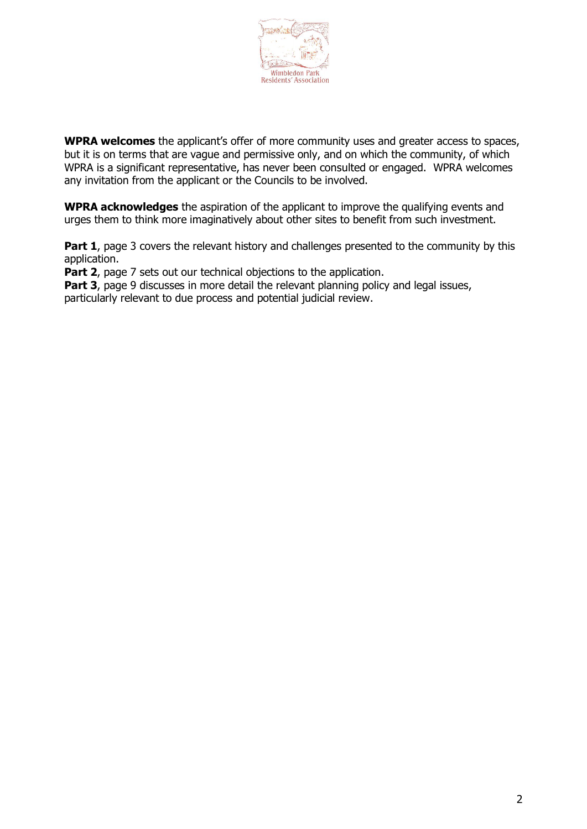

**WPRA welcomes** the applicant's offer of more community uses and greater access to spaces, but it is on terms that are vague and permissive only, and on which the community, of which WPRA is a significant representative, has never been consulted or engaged. WPRA welcomes any invitation from the applicant or the Councils to be involved.

**WPRA acknowledges** the aspiration of the applicant to improve the qualifying events and urges them to think more imaginatively about other sites to benefit from such investment.

**Part 1**, page 3 covers the relevant history and challenges presented to the community by this application.

**Part 2**, page 7 sets out our technical objections to the application.

**Part 3**, page 9 discusses in more detail the relevant planning policy and legal issues, particularly relevant to due process and potential judicial review.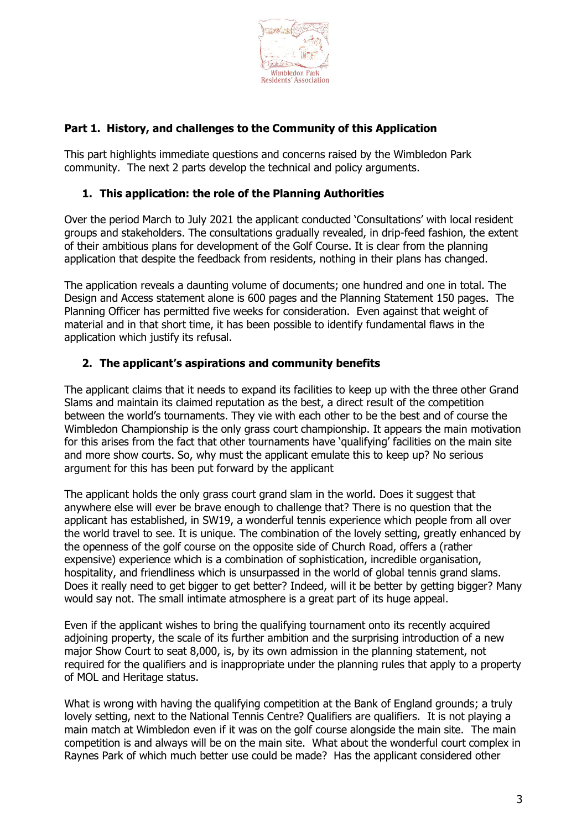

#### **Part 1. History, and challenges to the Community of this Application**

This part highlights immediate questions and concerns raised by the Wimbledon Park community. The next 2 parts develop the technical and policy arguments.

#### **1. This application: the role of the Planning Authorities**

Over the period March to July 2021 the applicant conducted 'Consultations' with local resident groups and stakeholders. The consultations gradually revealed, in drip-feed fashion, the extent of their ambitious plans for development of the Golf Course. It is clear from the planning application that despite the feedback from residents, nothing in their plans has changed.

The application reveals a daunting volume of documents; one hundred and one in total. The Design and Access statement alone is 600 pages and the Planning Statement 150 pages. The Planning Officer has permitted five weeks for consideration. Even against that weight of material and in that short time, it has been possible to identify fundamental flaws in the application which justify its refusal.

#### **2. The applicant's aspirations and community benefits**

The applicant claims that it needs to expand its facilities to keep up with the three other Grand Slams and maintain its claimed reputation as the best, a direct result of the competition between the world's tournaments. They vie with each other to be the best and of course the Wimbledon Championship is the only grass court championship. It appears the main motivation for this arises from the fact that other tournaments have 'qualifying' facilities on the main site and more show courts. So, why must the applicant emulate this to keep up? No serious argument for this has been put forward by the applicant

The applicant holds the only grass court grand slam in the world. Does it suggest that anywhere else will ever be brave enough to challenge that? There is no question that the applicant has established, in SW19, a wonderful tennis experience which people from all over the world travel to see. It is unique. The combination of the lovely setting, greatly enhanced by the openness of the golf course on the opposite side of Church Road, offers a (rather expensive) experience which is a combination of sophistication, incredible organisation, hospitality, and friendliness which is unsurpassed in the world of global tennis grand slams. Does it really need to get bigger to get better? Indeed, will it be better by getting bigger? Many would say not. The small intimate atmosphere is a great part of its huge appeal.

Even if the applicant wishes to bring the qualifying tournament onto its recently acquired adjoining property, the scale of its further ambition and the surprising introduction of a new major Show Court to seat 8,000, is, by its own admission in the planning statement, not required for the qualifiers and is inappropriate under the planning rules that apply to a property of MOL and Heritage status.

What is wrong with having the qualifying competition at the Bank of England grounds; a truly lovely setting, next to the National Tennis Centre? Qualifiers are qualifiers. It is not playing a main match at Wimbledon even if it was on the golf course alongside the main site. The main competition is and always will be on the main site. What about the wonderful court complex in Raynes Park of which much better use could be made? Has the applicant considered other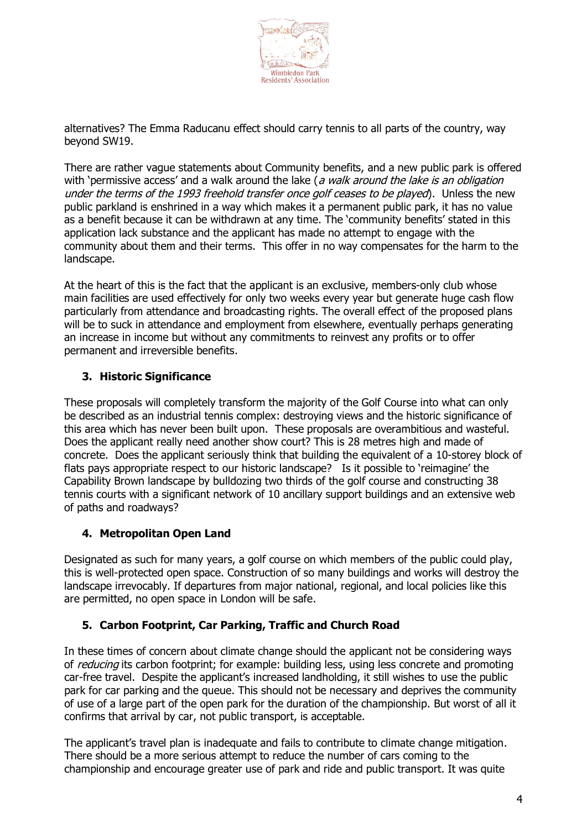

alternatives? The Emma Raducanu effect should carry tennis to all parts of the country, way beyond SW19.

There are rather vague statements about Community benefits, and a new public park is offered with 'permissive access' and a walk around the lake (a walk around the lake is an obligation under the terms of the 1993 freehold transfer once golf ceases to be played). Unless the new public parkland is enshrined in a way which makes it a permanent public park, it has no value as a benefit because it can be withdrawn at any time. The 'community benefits' stated in this application lack substance and the applicant has made no attempt to engage with the community about them and their terms. This offer in no way compensates for the harm to the landscape.

At the heart of this is the fact that the applicant is an exclusive, members-only club whose main facilities are used effectively for only two weeks every year but generate huge cash flow particularly from attendance and broadcasting rights. The overall effect of the proposed plans will be to suck in attendance and employment from elsewhere, eventually perhaps generating an increase in income but without any commitments to reinvest any profits or to offer permanent and irreversible benefits.

# **3. Historic Significance**

These proposals will completely transform the majority of the Golf Course into what can only be described as an industrial tennis complex: destroying views and the historic significance of this area which has never been built upon. These proposals are overambitious and wasteful. Does the applicant really need another show court? This is 28 metres high and made of concrete. Does the applicant seriously think that building the equivalent of a 10-storey block of flats pays appropriate respect to our historic landscape? Is it possible to 'reimagine' the Capability Brown landscape by bulldozing two thirds of the golf course and constructing 38 tennis courts with a significant network of 10 ancillary support buildings and an extensive web of paths and roadways?

# **4. Metropolitan Open Land**

Designated as such for many years, a golf course on which members of the public could play, this is well-protected open space. Construction of so many buildings and works will destroy the landscape irrevocably. If departures from major national, regional, and local policies like this are permitted, no open space in London will be safe.

# **5. Carbon Footprint, Car Parking, Traffic and Church Road**

In these times of concern about climate change should the applicant not be considering ways of *reducing* its carbon footprint; for example; building less, using less concrete and promoting car-free travel. Despite the applicant's increased landholding, it still wishes to use the public park for car parking and the queue. This should not be necessary and deprives the community of use of a large part of the open park for the duration of the championship. But worst of all it confirms that arrival by car, not public transport, is acceptable.

The applicant's travel plan is inadequate and fails to contribute to climate change mitigation. There should be a more serious attempt to reduce the number of cars coming to the championship and encourage greater use of park and ride and public transport. It was quite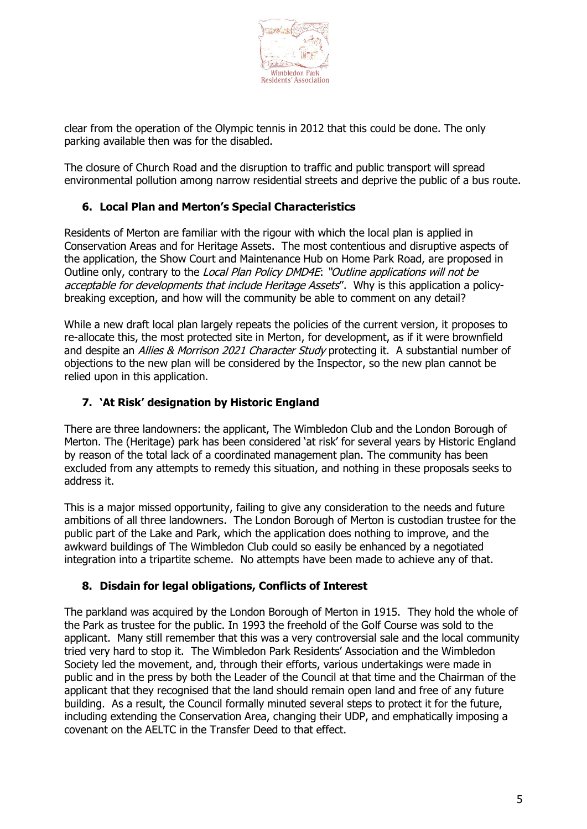

clear from the operation of the Olympic tennis in 2012 that this could be done. The only parking available then was for the disabled.

The closure of Church Road and the disruption to traffic and public transport will spread environmental pollution among narrow residential streets and deprive the public of a bus route.

# **6. Local Plan and Merton's Special Characteristics**

Residents of Merton are familiar with the rigour with which the local plan is applied in Conservation Areas and for Heritage Assets. The most contentious and disruptive aspects of the application, the Show Court and Maintenance Hub on Home Park Road, are proposed in Outline only, contrary to the Local Plan Policy DMD4E: "Outline applications will not be acceptable for developments that include Heritage Assets". Why is this application a policybreaking exception, and how will the community be able to comment on any detail?

While a new draft local plan largely repeats the policies of the current version, it proposes to re-allocate this, the most protected site in Merton, for development, as if it were brownfield and despite an Allies & Morrison 2021 Character Study protecting it. A substantial number of objections to the new plan will be considered by the Inspector, so the new plan cannot be relied upon in this application.

# **7. 'At Risk' designation by Historic England**

There are three landowners: the applicant, The Wimbledon Club and the London Borough of Merton. The (Heritage) park has been considered 'at risk' for several years by Historic England by reason of the total lack of a coordinated management plan. The community has been excluded from any attempts to remedy this situation, and nothing in these proposals seeks to address it.

This is a major missed opportunity, failing to give any consideration to the needs and future ambitions of all three landowners. The London Borough of Merton is custodian trustee for the public part of the Lake and Park, which the application does nothing to improve, and the awkward buildings of The Wimbledon Club could so easily be enhanced by a negotiated integration into a tripartite scheme. No attempts have been made to achieve any of that.

# **8. Disdain for legal obligations, Conflicts of Interest**

The parkland was acquired by the London Borough of Merton in 1915. They hold the whole of the Park as trustee for the public. In 1993 the freehold of the Golf Course was sold to the applicant. Many still remember that this was a very controversial sale and the local community tried very hard to stop it. The Wimbledon Park Residents' Association and the Wimbledon Society led the movement, and, through their efforts, various undertakings were made in public and in the press by both the Leader of the Council at that time and the Chairman of the applicant that they recognised that the land should remain open land and free of any future building. As a result, the Council formally minuted several steps to protect it for the future, including extending the Conservation Area, changing their UDP, and emphatically imposing a covenant on the AELTC in the Transfer Deed to that effect.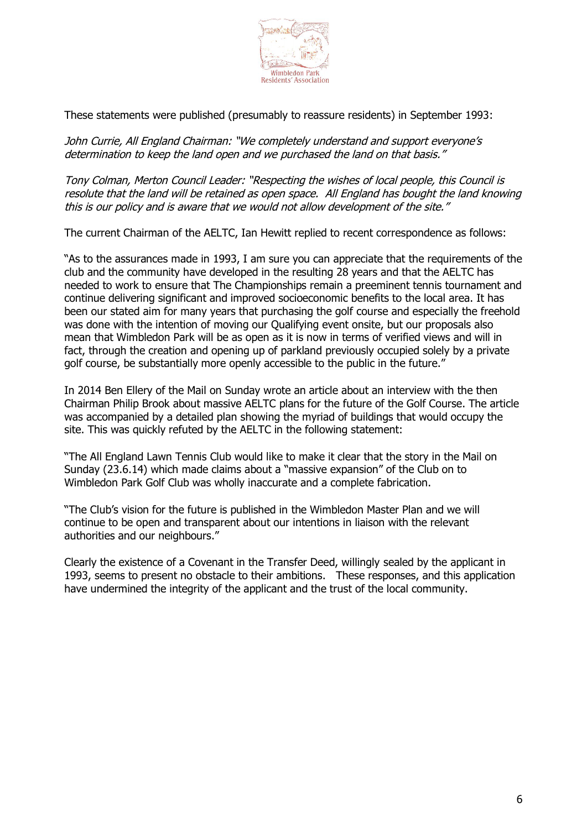

These statements were published (presumably to reassure residents) in September 1993;

John Currie, All England Chairman: "We completely understand and support everyone's determination to keep the land open and we purchased the land on that basis."

Tony Colman, Merton Council Leader: "Respecting the wishes of local people, this Council is resolute that the land will be retained as open space. All England has bought the land knowing this is our policy and is aware that we would not allow development of the site."

The current Chairman of the AELTC, Ian Hewitt replied to recent correspondence as follows:

"As to the assurances made in 1993, I am sure you can appreciate that the requirements of the club and the community have developed in the resulting 28 years and that the AELTC has needed to work to ensure that The Championships remain a preeminent tennis tournament and continue delivering significant and improved socioeconomic benefits to the local area. It has been our stated aim for many years that purchasing the golf course and especially the freehold was done with the intention of moving our Qualifying event onsite, but our proposals also mean that Wimbledon Park will be as open as it is now in terms of verified views and will in fact, through the creation and opening up of parkland previously occupied solely by a private golf course, be substantially more openly accessible to the public in the future."

In 2014 Ben Ellery of the Mail on Sunday wrote an article about an interview with the then Chairman Philip Brook about massive AELTC plans for the future of the Golf Course. The article was accompanied by a detailed plan showing the myriad of buildings that would occupy the site. This was quickly refuted by the AELTC in the following statement:

"The All England Lawn Tennis Club would like to make it clear that the story in the Mail on Sunday (23.6.14) which made claims about a "massive expansion" of the Club on to Wimbledon Park Golf Club was wholly inaccurate and a complete fabrication.

"The Club's vision for the future is published in the Wimbledon Master Plan and we will continue to be open and transparent about our intentions in liaison with the relevant authorities and our neighbours."

Clearly the existence of a Covenant in the Transfer Deed, willingly sealed by the applicant in 1993, seems to present no obstacle to their ambitions. These responses, and this application have undermined the integrity of the applicant and the trust of the local community.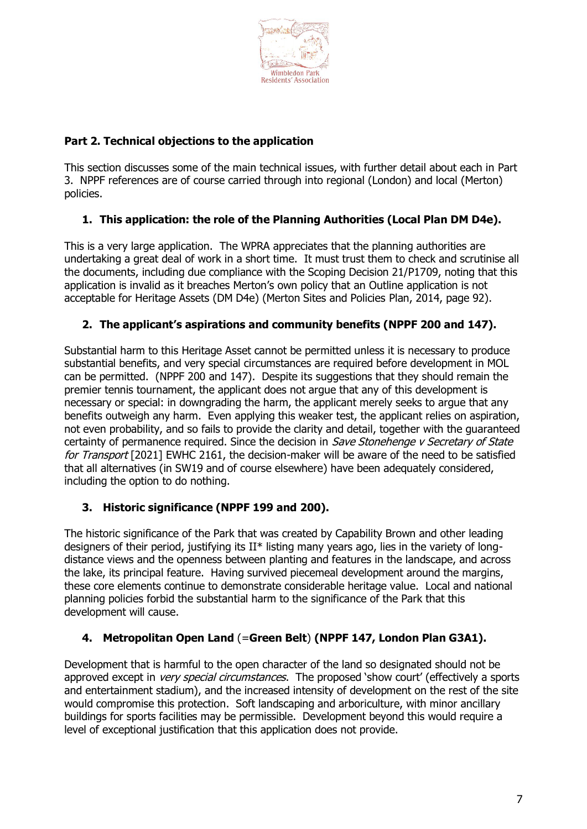

# **Part 2. Technical objections to the application**

This section discusses some of the main technical issues, with further detail about each in Part 3. NPPF references are of course carried through into regional (London) and local (Merton) policies.

# **1. This application: the role of the Planning Authorities (Local Plan DM D4e).**

This is a very large application. The WPRA appreciates that the planning authorities are undertaking a great deal of work in a short time. It must trust them to check and scrutinise all the documents, including due compliance with the Scoping Decision 21/P1709, noting that this application is invalid as it breaches Merton's own policy that an Outline application is not acceptable for Heritage Assets (DM D4e) (Merton Sites and Policies Plan, 2014, page 92).

# **2. The applicant's aspirations and community benefits (NPPF 200 and 147).**

Substantial harm to this Heritage Asset cannot be permitted unless it is necessary to produce substantial benefits, and very special circumstances are required before development in MOL can be permitted. (NPPF 200 and 147). Despite its suggestions that they should remain the premier tennis tournament, the applicant does not argue that any of this development is necessary or special: in downgrading the harm, the applicant merely seeks to argue that any benefits outweigh any harm. Even applying this weaker test, the applicant relies on aspiration, not even probability, and so fails to provide the clarity and detail, together with the guaranteed certainty of permanence required. Since the decision in Save Stonehenge v Secretary of State for Transport [2021] EWHC 2161, the decision-maker will be aware of the need to be satisfied that all alternatives (in SW19 and of course elsewhere) have been adequately considered, including the option to do nothing.

# **3. Historic significance (NPPF 199 and 200).**

The historic significance of the Park that was created by Capability Brown and other leading designers of their period, justifying its II\* listing many years ago, lies in the variety of longdistance views and the openness between planting and features in the landscape, and across the lake, its principal feature. Having survived piecemeal development around the margins, these core elements continue to demonstrate considerable heritage value. Local and national planning policies forbid the substantial harm to the significance of the Park that this development will cause.

# **4. Metropolitan Open Land** (=**Green Belt**) **(NPPF 147, London Plan G3A1).**

Development that is harmful to the open character of the land so designated should not be approved except in *very special circumstances*. The proposed 'show court' (effectively a sports and entertainment stadium), and the increased intensity of development on the rest of the site would compromise this protection. Soft landscaping and arboriculture, with minor ancillary buildings for sports facilities may be permissible. Development beyond this would require a level of exceptional justification that this application does not provide.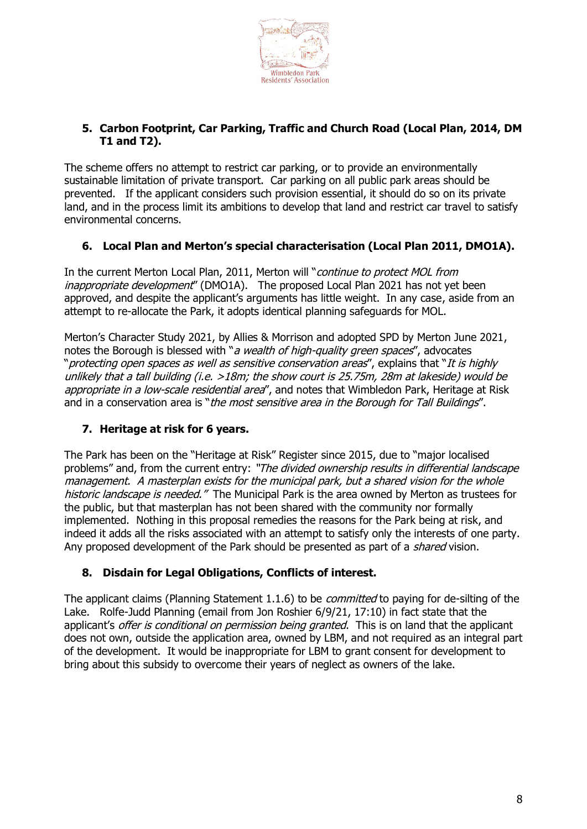

# **5. Carbon Footprint, Car Parking, Traffic and Church Road (Local Plan, 2014, DM T1 and T2).**

The scheme offers no attempt to restrict car parking, or to provide an environmentally sustainable limitation of private transport. Car parking on all public park areas should be prevented. If the applicant considers such provision essential, it should do so on its private land, and in the process limit its ambitions to develop that land and restrict car travel to satisfy environmental concerns.

#### **6. Local Plan and Merton's special characterisation (Local Plan 2011, DMO1A).**

In the current Merton Local Plan, 2011, Merton will "continue to protect MOL from inappropriate development" (DMO1A). The proposed Local Plan 2021 has not yet been approved, and despite the applicant's arguments has little weight. In any case, aside from an attempt to re-allocate the Park, it adopts identical planning safeguards for MOL.

Merton's Character Study 2021, by Allies & Morrison and adopted SPD by Merton June 2021, notes the Borough is blessed with "a wealth of high-quality green spaces", advocates "protecting open spaces as well as sensitive conservation areas", explains that "It is highly unlikely that a tall building (i.e. >18m; the show court is 25.75m, 28m at lakeside) would be appropriate in a low-scale residential area", and notes that Wimbledon Park, Heritage at Risk and in a conservation area is "the most sensitive area in the Borough for Tall Buildings".

# **7. Heritage at risk for 6 years.**

The Park has been on the "Heritage at Risk" Register since 2015, due to "major localised problems" and, from the current entry: "The divided ownership results in differential landscape management. A masterplan exists for the municipal park, but a shared vision for the whole historic landscape is needed." The Municipal Park is the area owned by Merton as trustees for the public, but that masterplan has not been shared with the community nor formally implemented. Nothing in this proposal remedies the reasons for the Park being at risk, and indeed it adds all the risks associated with an attempt to satisfy only the interests of one party. Any proposed development of the Park should be presented as part of a *shared* vision.

# **8. Disdain for Legal Obligations, Conflicts of interest.**

The applicant claims (Planning Statement 1.1.6) to be *committed* to paying for de-silting of the Lake. Rolfe-Judd Planning (email from Jon Roshier 6/9/21, 17:10) in fact state that the applicant's offer is conditional on permission being granted. This is on land that the applicant does not own, outside the application area, owned by LBM, and not required as an integral part of the development. It would be inappropriate for LBM to grant consent for development to bring about this subsidy to overcome their years of neglect as owners of the lake.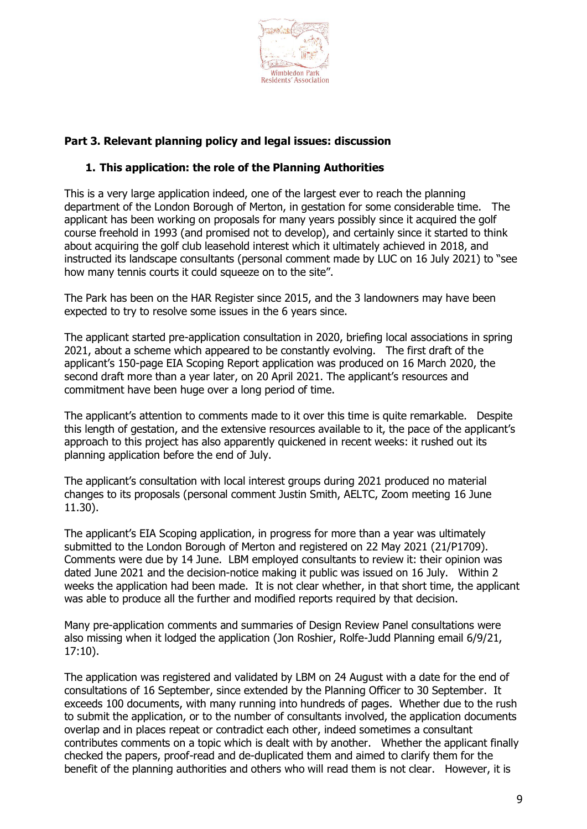

# **Part 3. Relevant planning policy and legal issues: discussion**

#### **1. This application: the role of the Planning Authorities**

This is a very large application indeed, one of the largest ever to reach the planning department of the London Borough of Merton, in gestation for some considerable time. The applicant has been working on proposals for many years possibly since it acquired the golf course freehold in 1993 (and promised not to develop), and certainly since it started to think about acquiring the golf club leasehold interest which it ultimately achieved in 2018, and instructed its landscape consultants (personal comment made by LUC on 16 July 2021) to "see how many tennis courts it could squeeze on to the site".

The Park has been on the HAR Register since 2015, and the 3 landowners may have been expected to try to resolve some issues in the 6 years since.

The applicant started pre-application consultation in 2020, briefing local associations in spring 2021, about a scheme which appeared to be constantly evolving. The first draft of the applicant's 150-page EIA Scoping Report application was produced on 16 March 2020, the second draft more than a year later, on 20 April 2021. The applicant's resources and commitment have been huge over a long period of time.

The applicant's attention to comments made to it over this time is quite remarkable. Despite this length of gestation, and the extensive resources available to it, the pace of the applicant's approach to this project has also apparently quickened in recent weeks: it rushed out its planning application before the end of July.

The applicant's consultation with local interest groups during 2021 produced no material changes to its proposals (personal comment Justin Smith, AELTC, Zoom meeting 16 June 11.30).

The applicant's EIA Scoping application, in progress for more than a year was ultimately submitted to the London Borough of Merton and registered on 22 May 2021 (21/P1709). Comments were due by 14 June. LBM employed consultants to review it: their opinion was dated June 2021 and the decision-notice making it public was issued on 16 July. Within 2 weeks the application had been made. It is not clear whether, in that short time, the applicant was able to produce all the further and modified reports required by that decision.

Many pre-application comments and summaries of Design Review Panel consultations were also missing when it lodged the application (Jon Roshier, Rolfe-Judd Planning email 6/9/21, 17:10).

The application was registered and validated by LBM on 24 August with a date for the end of consultations of 16 September, since extended by the Planning Officer to 30 September. It exceeds 100 documents, with many running into hundreds of pages. Whether due to the rush to submit the application, or to the number of consultants involved, the application documents overlap and in places repeat or contradict each other, indeed sometimes a consultant contributes comments on a topic which is dealt with by another. Whether the applicant finally checked the papers, proof-read and de-duplicated them and aimed to clarify them for the benefit of the planning authorities and others who will read them is not clear. However, it is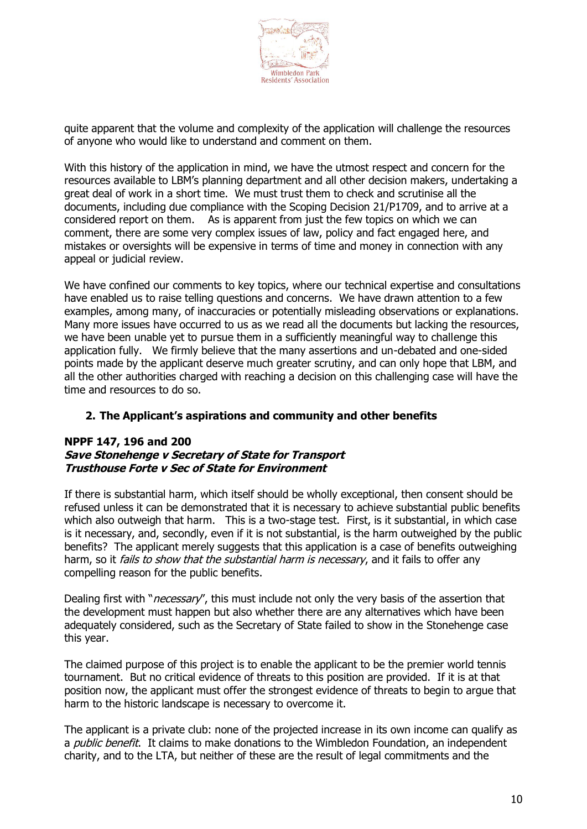

quite apparent that the volume and complexity of the application will challenge the resources of anyone who would like to understand and comment on them.

With this history of the application in mind, we have the utmost respect and concern for the resources available to LBM's planning department and all other decision makers, undertaking a great deal of work in a short time. We must trust them to check and scrutinise all the documents, including due compliance with the Scoping Decision 21/P1709, and to arrive at a considered report on them. As is apparent from just the few topics on which we can comment, there are some very complex issues of law, policy and fact engaged here, and mistakes or oversights will be expensive in terms of time and money in connection with any appeal or judicial review.

We have confined our comments to key topics, where our technical expertise and consultations have enabled us to raise telling questions and concerns. We have drawn attention to a few examples, among many, of inaccuracies or potentially misleading observations or explanations. Many more issues have occurred to us as we read all the documents but lacking the resources, we have been unable yet to pursue them in a sufficiently meaningful way to challenge this application fully. We firmly believe that the many assertions and un-debated and one-sided points made by the applicant deserve much greater scrutiny, and can only hope that LBM, and all the other authorities charged with reaching a decision on this challenging case will have the time and resources to do so.

#### **2. The Applicant's aspirations and community and other benefits**

#### **NPPF 147, 196 and 200 Save Stonehenge v Secretary of State for Transport Trusthouse Forte v Sec of State for Environment**

If there is substantial harm, which itself should be wholly exceptional, then consent should be refused unless it can be demonstrated that it is necessary to achieve substantial public benefits which also outweigh that harm. This is a two-stage test. First, is it substantial, in which case is it necessary, and, secondly, even if it is not substantial, is the harm outweighed by the public benefits? The applicant merely suggests that this application is a case of benefits outweighing harm, so it *fails to show that the substantial harm is necessary*, and it fails to offer any compelling reason for the public benefits.

Dealing first with "*necessary*", this must include not only the very basis of the assertion that the development must happen but also whether there are any alternatives which have been adequately considered, such as the Secretary of State failed to show in the Stonehenge case this year.

The claimed purpose of this project is to enable the applicant to be the premier world tennis tournament. But no critical evidence of threats to this position are provided. If it is at that position now, the applicant must offer the strongest evidence of threats to begin to argue that harm to the historic landscape is necessary to overcome it.

The applicant is a private club: none of the projected increase in its own income can qualify as a *public benefit*. It claims to make donations to the Wimbledon Foundation, an independent charity, and to the LTA, but neither of these are the result of legal commitments and the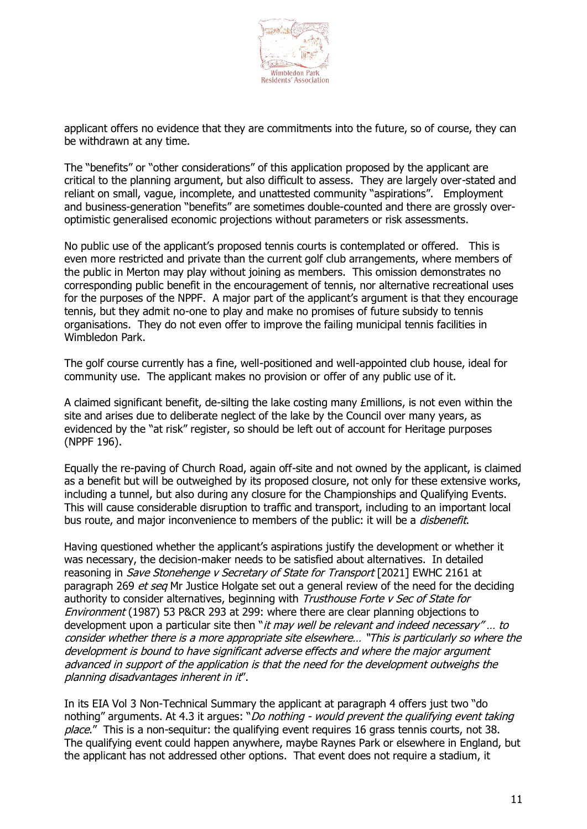

applicant offers no evidence that they are commitments into the future, so of course, they can be withdrawn at any time.

The "benefits" or "other considerations" of this application proposed by the applicant are critical to the planning argument, but also difficult to assess. They are largely over-stated and reliant on small, vague, incomplete, and unattested community "aspirations". Employment and business-generation "benefits" are sometimes double-counted and there are grossly overoptimistic generalised economic projections without parameters or risk assessments.

No public use of the applicant's proposed tennis courts is contemplated or offered. This is even more restricted and private than the current golf club arrangements, where members of the public in Merton may play without joining as members. This omission demonstrates no corresponding public benefit in the encouragement of tennis, nor alternative recreational uses for the purposes of the NPPF. A major part of the applicant's argument is that they encourage tennis, but they admit no-one to play and make no promises of future subsidy to tennis organisations. They do not even offer to improve the failing municipal tennis facilities in Wimbledon Park.

The golf course currently has a fine, well-positioned and well-appointed club house, ideal for community use. The applicant makes no provision or offer of any public use of it.

A claimed significant benefit, de-silting the lake costing many £millions, is not even within the site and arises due to deliberate neglect of the lake by the Council over many years, as evidenced by the "at risk" register, so should be left out of account for Heritage purposes (NPPF 196).

Equally the re-paving of Church Road, again off-site and not owned by the applicant, is claimed as a benefit but will be outweighed by its proposed closure, not only for these extensive works, including a tunnel, but also during any closure for the Championships and Qualifying Events. This will cause considerable disruption to traffic and transport, including to an important local bus route, and major inconvenience to members of the public: it will be a *disbenefit*.

Having questioned whether the applicant's aspirations justify the development or whether it was necessary, the decision-maker needs to be satisfied about alternatives. In detailed reasoning in Save Stonehenge v Secretary of State for Transport [2021] EWHC 2161 at paragraph 269 et seq Mr Justice Holgate set out a general review of the need for the deciding authority to consider alternatives, beginning with Trusthouse Forte v Sec of State for Environment (1987) 53 P&CR 293 at 299: where there are clear planning objections to development upon a particular site then "it may well be relevant and indeed necessary"... to consider whether there is a more appropriate site elsewhere… "This is particularly so where the development is bound to have significant adverse effects and where the major argument advanced in support of the application is that the need for the development outweighs the planning disadvantages inherent in it".

In its EIA Vol 3 Non-Technical Summary the applicant at paragraph 4 offers just two "do nothing" arguments. At 4.3 it argues: "*Do nothing - would prevent the qualifying event taking* place." This is a non-sequitur: the qualifying event requires 16 grass tennis courts, not 38. The qualifying event could happen anywhere, maybe Raynes Park or elsewhere in England, but the applicant has not addressed other options. That event does not require a stadium, it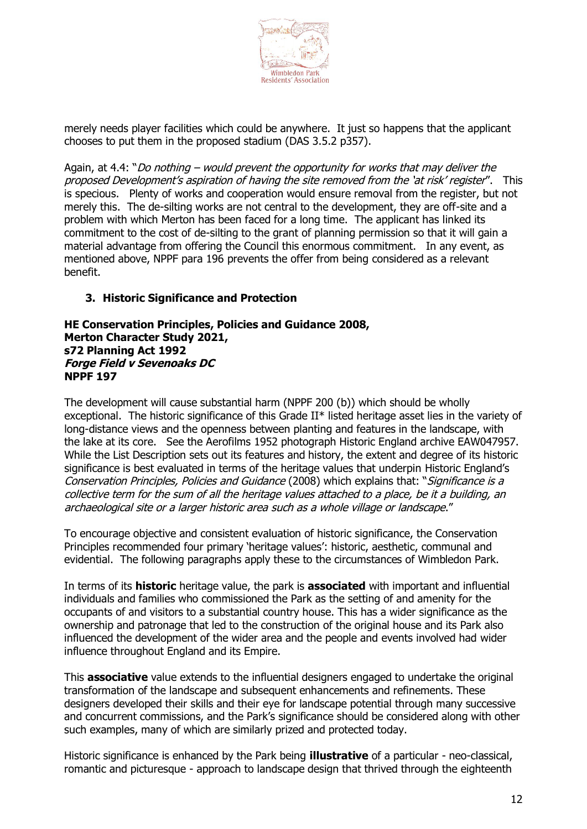

merely needs player facilities which could be anywhere. It just so happens that the applicant chooses to put them in the proposed stadium (DAS 3.5.2 p357).

Again, at 4.4: "Do nothing – would prevent the opportunity for works that may deliver the proposed Development's aspiration of having the site removed from the 'at risk' register". This is specious. Plenty of works and cooperation would ensure removal from the register, but not merely this. The de-silting works are not central to the development, they are off-site and a problem with which Merton has been faced for a long time. The applicant has linked its commitment to the cost of de-silting to the grant of planning permission so that it will gain a material advantage from offering the Council this enormous commitment. In any event, as mentioned above, NPPF para 196 prevents the offer from being considered as a relevant benefit.

#### **3. Historic Significance and Protection**

**HE Conservation Principles, Policies and Guidance 2008, Merton Character Study 2021, s72 Planning Act 1992 Forge Field v Sevenoaks DC NPPF 197**

The development will cause substantial harm (NPPF 200 (b)) which should be wholly exceptional. The historic significance of this Grade II\* listed heritage asset lies in the variety of long-distance views and the openness between planting and features in the landscape, with the lake at its core. See the Aerofilms 1952 photograph Historic England archive EAW047957. While the List Description sets out its features and history, the extent and degree of its historic significance is best evaluated in terms of the heritage values that underpin Historic England's Conservation Principles, Policies and Guidance (2008) which explains that: "Significance is a collective term for the sum of all the heritage values attached to a place, be it a building, an archaeological site or a larger historic area such as a whole village or landscape."

To encourage objective and consistent evaluation of historic significance, the Conservation Principles recommended four primary 'heritage values': historic, aesthetic, communal and evidential. The following paragraphs apply these to the circumstances of Wimbledon Park.

In terms of its **historic** heritage value, the park is **associated** with important and influential individuals and families who commissioned the Park as the setting of and amenity for the occupants of and visitors to a substantial country house. This has a wider significance as the ownership and patronage that led to the construction of the original house and its Park also influenced the development of the wider area and the people and events involved had wider influence throughout England and its Empire.

This **associative** value extends to the influential designers engaged to undertake the original transformation of the landscape and subsequent enhancements and refinements. These designers developed their skills and their eye for landscape potential through many successive and concurrent commissions, and the Park's significance should be considered along with other such examples, many of which are similarly prized and protected today.

Historic significance is enhanced by the Park being **illustrative** of a particular - neo-classical, romantic and picturesque - approach to landscape design that thrived through the eighteenth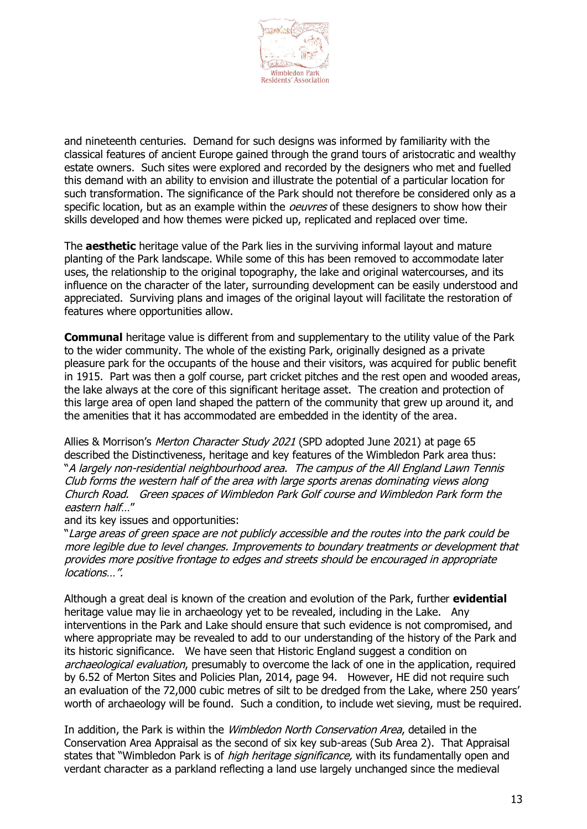

and nineteenth centuries. Demand for such designs was informed by familiarity with the classical features of ancient Europe gained through the grand tours of aristocratic and wealthy estate owners. Such sites were explored and recorded by the designers who met and fuelled this demand with an ability to envision and illustrate the potential of a particular location for such transformation. The significance of the Park should not therefore be considered only as a specific location, but as an example within the *oeuvres* of these designers to show how their skills developed and how themes were picked up, replicated and replaced over time.

The **aesthetic** heritage value of the Park lies in the surviving informal layout and mature planting of the Park landscape. While some of this has been removed to accommodate later uses, the relationship to the original topography, the lake and original watercourses, and its influence on the character of the later, surrounding development can be easily understood and appreciated. Surviving plans and images of the original layout will facilitate the restoration of features where opportunities allow.

**Communal** heritage value is different from and supplementary to the utility value of the Park to the wider community. The whole of the existing Park, originally designed as a private pleasure park for the occupants of the house and their visitors, was acquired for public benefit in 1915. Part was then a golf course, part cricket pitches and the rest open and wooded areas, the lake always at the core of this significant heritage asset. The creation and protection of this large area of open land shaped the pattern of the community that grew up around it, and the amenities that it has accommodated are embedded in the identity of the area.

Allies & Morrison's Merton Character Study 2021 (SPD adopted June 2021) at page 65 described the Distinctiveness, heritage and key features of the Wimbledon Park area thus: "A largely non-residential neighbourhood area. The campus of the All England Lawn Tennis Club forms the western half of the area with large sports arenas dominating views along Church Road. Green spaces of Wimbledon Park Golf course and Wimbledon Park form the eastern half…"

and its key issues and opportunities:

"Large areas of green space are not publicly accessible and the routes into the park could be more legible due to level changes. Improvements to boundary treatments or development that provides more positive frontage to edges and streets should be encouraged in appropriate locations…".

Although a great deal is known of the creation and evolution of the Park, further **evidential** heritage value may lie in archaeology yet to be revealed, including in the Lake. Any interventions in the Park and Lake should ensure that such evidence is not compromised, and where appropriate may be revealed to add to our understanding of the history of the Park and its historic significance. We have seen that Historic England suggest a condition on archaeological evaluation, presumably to overcome the lack of one in the application, required by 6.52 of Merton Sites and Policies Plan, 2014, page 94. However, HE did not require such an evaluation of the 72,000 cubic metres of silt to be dredged from the Lake, where 250 years' worth of archaeology will be found. Such a condition, to include wet sieving, must be required.

In addition, the Park is within the *Wimbledon North Conservation Area*, detailed in the Conservation Area Appraisal as the second of six key sub-areas (Sub Area 2). That Appraisal states that "Wimbledon Park is of high heritage significance, with its fundamentally open and verdant character as a parkland reflecting a land use largely unchanged since the medieval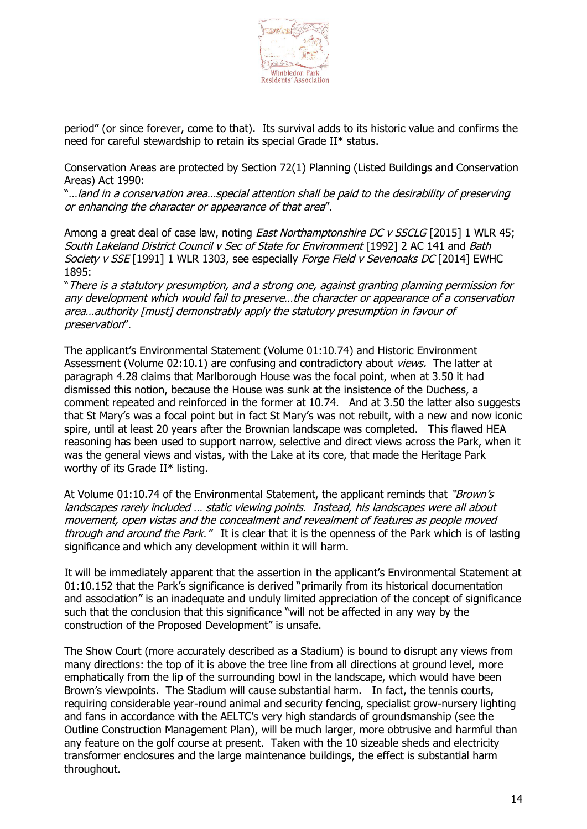

period" (or since forever, come to that). Its survival adds to its historic value and confirms the need for careful stewardship to retain its special Grade II\* status.

Conservation Areas are protected by Section 72(1) Planning (Listed Buildings and Conservation Areas) Act 1990:

"…land in a conservation area…special attention shall be paid to the desirability of preserving or enhancing the character or appearance of that area".

Among a great deal of case law, noting *East Northamptonshire DC v SSCLG* [2015] 1 WLR 45; South Lakeland District Council v Sec of State for Environment [1992] 2 AC 141 and Bath Society v SSE [1991] 1 WLR 1303, see especially Forge Field v Sevenoaks DC [2014] EWHC 1895:

"There is a statutory presumption, and a strong one, against granting planning permission for any development which would fail to preserve…the character or appearance of a conservation area...authority [must] demonstrably apply the statutory presumption in favour of preservation".

The applicant's Environmental Statement (Volume 01:10.74) and Historic Environment Assessment (Volume 02:10.1) are confusing and contradictory about *views.* The latter at paragraph 4.28 claims that Marlborough House was the focal point, when at 3.50 it had dismissed this notion, because the House was sunk at the insistence of the Duchess, a comment repeated and reinforced in the former at 10.74. And at 3.50 the latter also suggests that St Mary's was a focal point but in fact St Mary's was not rebuilt, with a new and now iconic spire, until at least 20 years after the Brownian landscape was completed. This flawed HEA reasoning has been used to support narrow, selective and direct views across the Park, when it was the general views and vistas, with the Lake at its core, that made the Heritage Park worthy of its Grade II\* listing.

At Volume 01:10.74 of the Environmental Statement, the applicant reminds that "Brown's landscapes rarely included … static viewing points. Instead, his landscapes were all about movement, open vistas and the concealment and revealment of features as people moved through and around the Park." It is clear that it is the openness of the Park which is of lasting significance and which any development within it will harm.

It will be immediately apparent that the assertion in the applicant's Environmental Statement at 01:10.152 that the Park's significance is derived "primarily from its historical documentation and association" is an inadequate and unduly limited appreciation of the concept of significance such that the conclusion that this significance "will not be affected in any way by the construction of the Proposed Development" is unsafe.

The Show Court (more accurately described as a Stadium) is bound to disrupt any views from many directions: the top of it is above the tree line from all directions at ground level, more emphatically from the lip of the surrounding bowl in the landscape, which would have been Brown's viewpoints. The Stadium will cause substantial harm. In fact, the tennis courts, requiring considerable year-round animal and security fencing, specialist grow-nursery lighting and fans in accordance with the AELTC's very high standards of groundsmanship (see the Outline Construction Management Plan), will be much larger, more obtrusive and harmful than any feature on the golf course at present. Taken with the 10 sizeable sheds and electricity transformer enclosures and the large maintenance buildings, the effect is substantial harm throughout.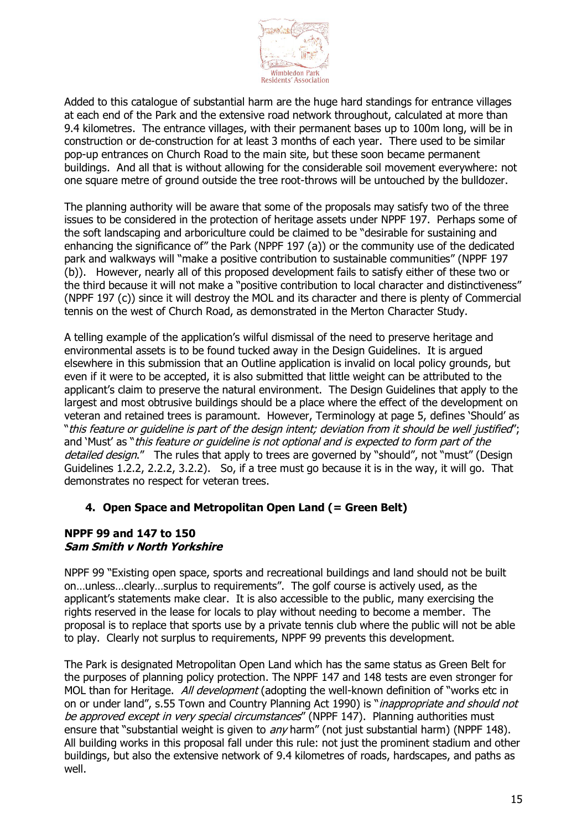

Added to this catalogue of substantial harm are the huge hard standings for entrance villages at each end of the Park and the extensive road network throughout, calculated at more than 9.4 kilometres. The entrance villages, with their permanent bases up to 100m long, will be in construction or de-construction for at least 3 months of each year. There used to be similar pop-up entrances on Church Road to the main site, but these soon became permanent buildings. And all that is without allowing for the considerable soil movement everywhere: not one square metre of ground outside the tree root-throws will be untouched by the bulldozer.

The planning authority will be aware that some of the proposals may satisfy two of the three issues to be considered in the protection of heritage assets under NPPF 197. Perhaps some of the soft landscaping and arboriculture could be claimed to be "desirable for sustaining and enhancing the significance of" the Park (NPPF 197 (a)) or the community use of the dedicated park and walkways will "make a positive contribution to sustainable communities" (NPPF 197 (b)). However, nearly all of this proposed development fails to satisfy either of these two or the third because it will not make a "positive contribution to local character and distinctiveness" (NPPF 197 (c)) since it will destroy the MOL and its character and there is plenty of Commercial tennis on the west of Church Road, as demonstrated in the Merton Character Study.

A telling example of the application's wilful dismissal of the need to preserve heritage and environmental assets is to be found tucked away in the Design Guidelines. It is argued elsewhere in this submission that an Outline application is invalid on local policy grounds, but even if it were to be accepted, it is also submitted that little weight can be attributed to the applicant's claim to preserve the natural environment. The Design Guidelines that apply to the largest and most obtrusive buildings should be a place where the effect of the development on veteran and retained trees is paramount. However, Terminology at page 5, defines 'Should' as "this feature or guideline is part of the design intent; deviation from it should be well justified"; and 'Must' as "this feature or quideline is not optional and is expected to form part of the detailed design." The rules that apply to trees are governed by "should", not "must" (Design Guidelines 1.2.2, 2.2.2, 3.2.2). So, if a tree must go because it is in the way, it will go. That demonstrates no respect for veteran trees.

# **4. Open Space and Metropolitan Open Land (= Green Belt)**

#### **NPPF 99 and 147 to 150 Sam Smith v North Yorkshire**

NPPF 99 "Existing open space, sports and recreational buildings and land should not be built on…unless…clearly…surplus to requirements". The golf course is actively used, as the applicant's statements make clear. It is also accessible to the public, many exercising the rights reserved in the lease for locals to play without needing to become a member. The proposal is to replace that sports use by a private tennis club where the public will not be able to play. Clearly not surplus to requirements, NPPF 99 prevents this development.

The Park is designated Metropolitan Open Land which has the same status as Green Belt for the purposes of planning policy protection. The NPPF 147 and 148 tests are even stronger for MOL than for Heritage. All development (adopting the well-known definition of "works etc in on or under land", s.55 Town and Country Planning Act 1990) is "*inappropriate and should not* be approved except in very special circumstances" (NPPF 147). Planning authorities must ensure that "substantial weight is given to any harm" (not just substantial harm) (NPPF 148). All building works in this proposal fall under this rule: not just the prominent stadium and other buildings, but also the extensive network of 9.4 kilometres of roads, hardscapes, and paths as well.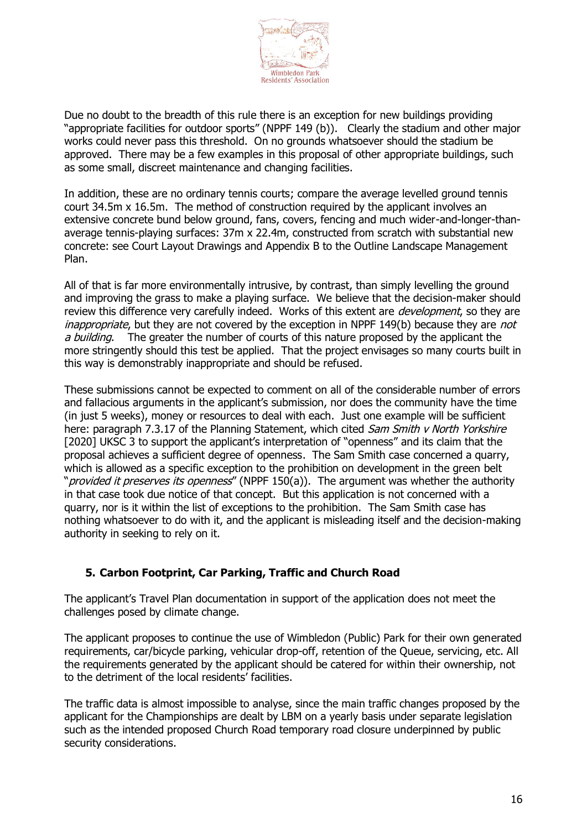

Due no doubt to the breadth of this rule there is an exception for new buildings providing "appropriate facilities for outdoor sports" (NPPF 149 (b)). Clearly the stadium and other major works could never pass this threshold. On no grounds whatsoever should the stadium be approved. There may be a few examples in this proposal of other appropriate buildings, such as some small, discreet maintenance and changing facilities.

In addition, these are no ordinary tennis courts; compare the average levelled ground tennis court 34.5m x 16.5m. The method of construction required by the applicant involves an extensive concrete bund below ground, fans, covers, fencing and much wider-and-longer-thanaverage tennis-playing surfaces: 37m x 22.4m, constructed from scratch with substantial new concrete: see Court Layout Drawings and Appendix B to the Outline Landscape Management Plan.

All of that is far more environmentally intrusive, by contrast, than simply levelling the ground and improving the grass to make a playing surface. We believe that the decision-maker should review this difference very carefully indeed. Works of this extent are *development*, so they are inappropriate, but they are not covered by the exception in NPPF 149(b) because they are not a building. The greater the number of courts of this nature proposed by the applicant the more stringently should this test be applied. That the project envisages so many courts built in this way is demonstrably inappropriate and should be refused.

These submissions cannot be expected to comment on all of the considerable number of errors and fallacious arguments in the applicant's submission, nor does the community have the time (in just 5 weeks), money or resources to deal with each. Just one example will be sufficient here: paragraph 7.3.17 of the Planning Statement, which cited *Sam Smith v North Yorkshire* [2020] UKSC 3 to support the applicant's interpretation of "openness" and its claim that the proposal achieves a sufficient degree of openness. The Sam Smith case concerned a quarry, which is allowed as a specific exception to the prohibition on development in the green belt "*provided it preserves its openness*" (NPPF 150(a)). The argument was whether the authority in that case took due notice of that concept. But this application is not concerned with a quarry, nor is it within the list of exceptions to the prohibition. The Sam Smith case has nothing whatsoever to do with it, and the applicant is misleading itself and the decision-making authority in seeking to rely on it.

#### **5. Carbon Footprint, Car Parking, Traffic and Church Road**

The applicant's Travel Plan documentation in support of the application does not meet the challenges posed by climate change.

The applicant proposes to continue the use of Wimbledon (Public) Park for their own generated requirements, car/bicycle parking, vehicular drop-off, retention of the Queue, servicing, etc. All the requirements generated by the applicant should be catered for within their ownership, not to the detriment of the local residents' facilities.

The traffic data is almost impossible to analyse, since the main traffic changes proposed by the applicant for the Championships are dealt by LBM on a yearly basis under separate legislation such as the intended proposed Church Road temporary road closure underpinned by public security considerations.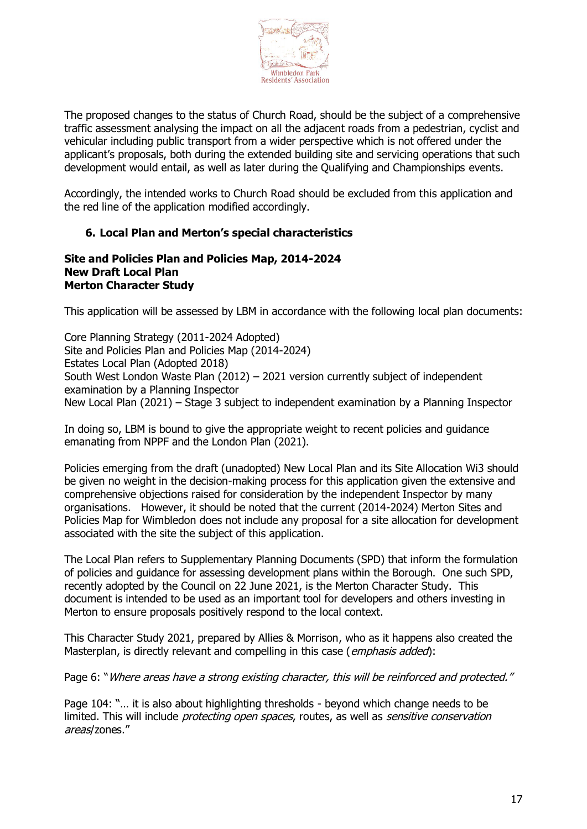

The proposed changes to the status of Church Road, should be the subject of a comprehensive traffic assessment analysing the impact on all the adjacent roads from a pedestrian, cyclist and vehicular including public transport from a wider perspective which is not offered under the applicant's proposals, both during the extended building site and servicing operations that such development would entail, as well as later during the Qualifying and Championships events.

Accordingly, the intended works to Church Road should be excluded from this application and the red line of the application modified accordingly.

#### **6. Local Plan and Merton's special characteristics**

#### **Site and Policies Plan and Policies Map, 2014-2024 New Draft Local Plan Merton Character Study**

This application will be assessed by LBM in accordance with the following local plan documents:

Core Planning Strategy (2011-2024 Adopted) Site and Policies Plan and Policies Map (2014-2024) Estates Local Plan (Adopted 2018) South West London Waste Plan (2012) – 2021 version currently subject of independent examination by a Planning Inspector New Local Plan (2021) – Stage 3 subject to independent examination by a Planning Inspector

In doing so, LBM is bound to give the appropriate weight to recent policies and guidance emanating from NPPF and the London Plan (2021).

Policies emerging from the draft (unadopted) New Local Plan and its Site Allocation Wi3 should be given no weight in the decision-making process for this application given the extensive and comprehensive objections raised for consideration by the independent Inspector by many organisations. However, it should be noted that the current (2014-2024) Merton Sites and Policies Map for Wimbledon does not include any proposal for a site allocation for development associated with the site the subject of this application.

The Local Plan refers to Supplementary Planning Documents (SPD) that inform the formulation of policies and guidance for assessing development plans within the Borough. One such SPD, recently adopted by the Council on 22 June 2021, is the Merton Character Study. This document is intended to be used as an important tool for developers and others investing in Merton to ensure proposals positively respond to the local context.

This Character Study 2021, prepared by Allies & Morrison, who as it happens also created the Masterplan, is directly relevant and compelling in this case (emphasis added):

Page 6: "Where areas have a strong existing character, this will be reinforced and protected."

Page 104: "… it is also about highlighting thresholds - beyond which change needs to be limited. This will include *protecting open spaces*, routes, as well as *sensitive conservation* areas/zones."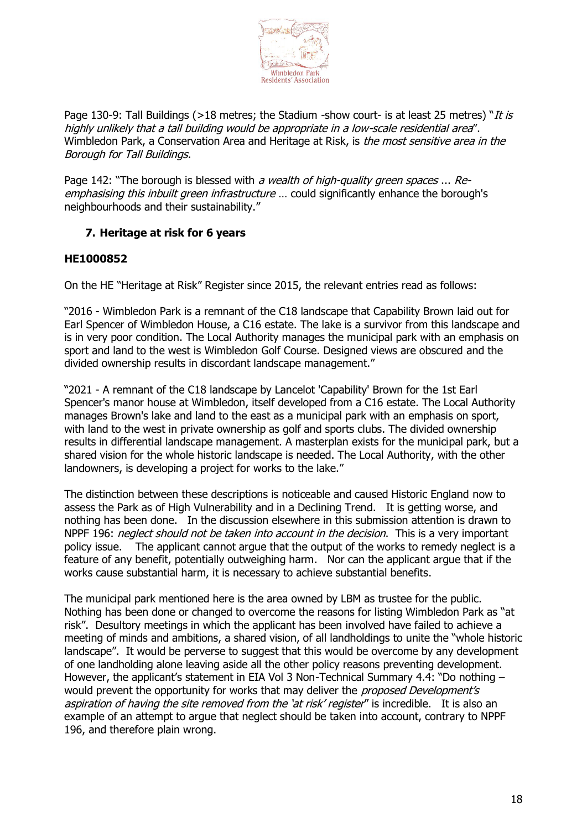

Page 130-9: Tall Buildings (>18 metres; the Stadium -show court- is at least 25 metres) "*It is* highly unlikely that a tall building would be appropriate in a low-scale residential area". Wimbledon Park, a Conservation Area and Heritage at Risk, is the most sensitive area in the Borough for Tall Buildings.

Page 142: "The borough is blessed with a wealth of high-quality green spaces ... Reemphasising this inbuilt green infrastructure ... could significantly enhance the borough's neighbourhoods and their sustainability."

#### **7. Heritage at risk for 6 years**

#### **HE1000852**

On the HE "Heritage at Risk" Register since 2015, the relevant entries read as follows:

"2016 - Wimbledon Park is a remnant of the C18 landscape that Capability Brown laid out for Earl Spencer of Wimbledon House, a C16 estate. The lake is a survivor from this landscape and is in very poor condition. The Local Authority manages the municipal park with an emphasis on sport and land to the west is Wimbledon Golf Course. Designed views are obscured and the divided ownership results in discordant landscape management."

"2021 - A remnant of the C18 landscape by Lancelot 'Capability' Brown for the 1st Earl Spencer's manor house at Wimbledon, itself developed from a C16 estate. The Local Authority manages Brown's lake and land to the east as a municipal park with an emphasis on sport, with land to the west in private ownership as golf and sports clubs. The divided ownership results in differential landscape management. A masterplan exists for the municipal park, but a shared vision for the whole historic landscape is needed. The Local Authority, with the other landowners, is developing a project for works to the lake."

The distinction between these descriptions is noticeable and caused Historic England now to assess the Park as of High Vulnerability and in a Declining Trend. It is getting worse, and nothing has been done. In the discussion elsewhere in this submission attention is drawn to NPPF 196: *neglect should not be taken into account in the decision*. This is a very important policy issue. The applicant cannot argue that the output of the works to remedy neglect is a feature of any benefit, potentially outweighing harm. Nor can the applicant argue that if the works cause substantial harm, it is necessary to achieve substantial benefits.

The municipal park mentioned here is the area owned by LBM as trustee for the public. Nothing has been done or changed to overcome the reasons for listing Wimbledon Park as "at risk". Desultory meetings in which the applicant has been involved have failed to achieve a meeting of minds and ambitions, a shared vision, of all landholdings to unite the "whole historic landscape". It would be perverse to suggest that this would be overcome by any development of one landholding alone leaving aside all the other policy reasons preventing development. However, the applicant's statement in EIA Vol 3 Non-Technical Summary 4.4: "Do nothing – would prevent the opportunity for works that may deliver the *proposed Development's* aspiration of having the site removed from the 'at risk' register" is incredible. It is also an example of an attempt to argue that neglect should be taken into account, contrary to NPPF 196, and therefore plain wrong.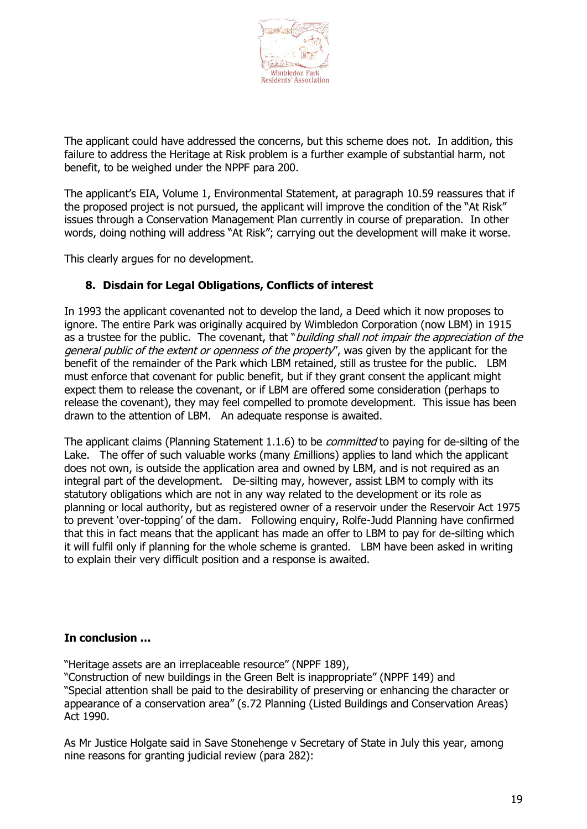

The applicant could have addressed the concerns, but this scheme does not. In addition, this failure to address the Heritage at Risk problem is a further example of substantial harm, not benefit, to be weighed under the NPPF para 200.

The applicant's EIA, Volume 1, Environmental Statement, at paragraph 10.59 reassures that if the proposed project is not pursued, the applicant will improve the condition of the "At Risk" issues through a Conservation Management Plan currently in course of preparation. In other words, doing nothing will address "At Risk"; carrying out the development will make it worse.

This clearly argues for no development.

#### **8. Disdain for Legal Obligations, Conflicts of interest**

In 1993 the applicant covenanted not to develop the land, a Deed which it now proposes to ignore. The entire Park was originally acquired by Wimbledon Corporation (now LBM) in 1915 as a trustee for the public. The covenant, that "building shall not impair the appreciation of the general public of the extent or openness of the property", was given by the applicant for the benefit of the remainder of the Park which LBM retained, still as trustee for the public. LBM must enforce that covenant for public benefit, but if they grant consent the applicant might expect them to release the covenant, or if LBM are offered some consideration (perhaps to release the covenant), they may feel compelled to promote development. This issue has been drawn to the attention of LBM. An adequate response is awaited.

The applicant claims (Planning Statement 1.1.6) to be *committed* to paying for de-silting of the Lake. The offer of such valuable works (many £millions) applies to land which the applicant does not own, is outside the application area and owned by LBM, and is not required as an integral part of the development. De-silting may, however, assist LBM to comply with its statutory obligations which are not in any way related to the development or its role as planning or local authority, but as registered owner of a reservoir under the Reservoir Act 1975 to prevent 'over-topping' of the dam. Following enquiry, Rolfe-Judd Planning have confirmed that this in fact means that the applicant has made an offer to LBM to pay for de-silting which it will fulfil only if planning for the whole scheme is granted. LBM have been asked in writing to explain their very difficult position and a response is awaited.

#### **In conclusion …**

"Heritage assets are an irreplaceable resource" (NPPF 189),

"Construction of new buildings in the Green Belt is inappropriate" (NPPF 149) and "Special attention shall be paid to the desirability of preserving or enhancing the character or appearance of a conservation area" (s.72 Planning (Listed Buildings and Conservation Areas) Act 1990.

As Mr Justice Holgate said in Save Stonehenge v Secretary of State in July this year, among nine reasons for granting judicial review (para 282):